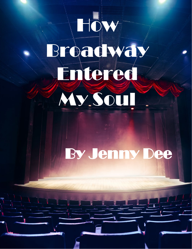## How Broadway Entered My Soul!

## By Jenny Dee

L

 $\ddot{\phantom{0}}$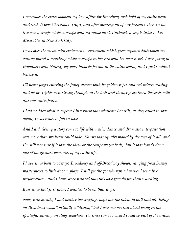I remember the exact moment my love affair for Broadway took hold of my entire heart and soul. It was Christmas, 1990, and after opening all of our presents, there in the tree was a single white envelope with my name on it. Enclosed, a single ticket to Les Miserables in New York City.

I was over the moon with excitement—excitement which grew exponentially when my Nanny found a matching white envelope in her tree with her own ticket. I was going to Broadway with Nanny, my most favorite person in the entire world, and I just couldn't believe it.

I'll never forget entering the fancy theater with its golden ropes and red velvety seating and décor. Lights were strung throughout the hall and theater-goers lined the seats with anxious anticipation.

I had no idea what to expect; I just knew that whatever Les Mis, as they called it, was about, I was ready to fall in love.

And I did. Seeing a story come to life with music, dance and dramatic interpretation was more than my heart could take. Nanny was equally moved by the awe of it all, and I'm still not sure if it was the show or the company (or both), but it was hands down, one of the greatest memories of my entire life.

I have since been to over 30 Broadway and off-Broadway shows, ranging from Disney masterpieces to little known plays. I still get the goosebumps whenever I see a live performance—and I have since realized that this love goes deeper than watching.

Ever since that first show, I wanted to be on that stage.

Now, realistically, I had neither the singing chops nor the talent to pull that off. Being on Broadway wasn't actually a "dream," but I was mesmerized about being in the spotlight, shining on stage somehow. I'd since come to wish I could be part of the drama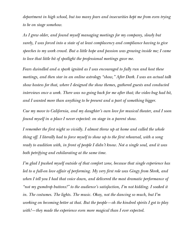department in high school, but too many fears and insecurities kept me from even trying to be on stage somehow.

As I grew older, and found myself managing meetings for my company, slowly but surely, I was forced into a state of at least complacency and compliance having to give speeches to my work crowd. But a little hope and passion was growing inside me; I came to love that little bit of spotlight the professional meetings gave me.

Fears dwindled and a spark ignited as I was encouraged to fully run and host these meetings, and then star in an online astrology "show," After Dark. I was an actual talk show hostess for that, where I designed the show themes, gathered guests and conducted interviews once a week. There was no going back for me after that; the video bug had bit, and I wanted more than anything to be present and a part of something bigger.

Cue my move to California, and my daughter's own love for musical theater, and I soon found myself in a place I never expected: on stage in a parent show.

I remember the first night so vividly. I almost threw up at home and called the whole thing off. I literally had to force myself to show up to the first rehearsal, with a song ready to audition with, in front of people I didn't know. Not a single soul, and it was both petrifying and exhilarating at the same time.

I'm glad I pushed myself outside of that comfort zone, because that single experience has led to a full-on love affair of performing. My very first role was Gingy from Shrek, and when I tell you I had that voice down, and delivered the most dramatic performance of "not my gumdrop buttons!" to the audience's satisfaction, I'm not kidding. I soaked it in. The costumes. The lights. The music. Okay, not the dancing so much, but I'm working on becoming better at that. But the people—oh the kindred spirits I got to play with!—they made the experience even more magical than I ever expected.